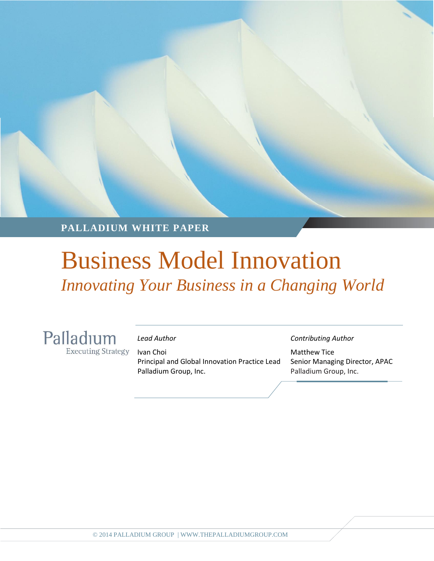**PALLADIUM WHITE PAPER**

### Business Model Innovation *Innovating Your Business in a Changing World*

Palladium **Executing Strategy** 

Ivan Choi **Matthew Tice** Principal and Global Innovation Practice Lead Senior Managing Director, APAC Palladium Group, Inc. **Palladium Group, Inc.** Palladium Group, Inc.

*Lead Author Contributing Author*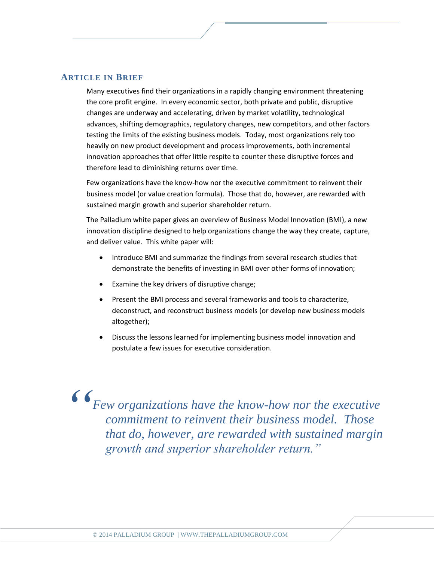#### **ARTICLE IN BRIEF**

Many executives find their organizations in a rapidly changing environment threatening the core profit engine. In every economic sector, both private and public, disruptive changes are underway and accelerating, driven by market volatility, technological advances, shifting demographics, regulatory changes, new competitors, and other factors testing the limits of the existing business models. Today, most organizations rely too heavily on new product development and process improvements, both incremental innovation approaches that offer little respite to counter these disruptive forces and therefore lead to diminishing returns over time.

Few organizations have the know-how nor the executive commitment to reinvent their business model (or value creation formula). Those that do, however, are rewarded with sustained margin growth and superior shareholder return.

The Palladium white paper gives an overview of Business Model Innovation (BMI), a new innovation discipline designed to help organizations change the way they create, capture, and deliver value. This white paper will:

- Introduce BMI and summarize the findings from several research studies that demonstrate the benefits of investing in BMI over other forms of innovation;
- Examine the key drivers of disruptive change;
- Present the BMI process and several frameworks and tools to characterize, deconstruct, and reconstruct business models (or develop new business models altogether);
- Discuss the lessons learned for implementing business model innovation and postulate a few issues for executive consideration.

*Few organizations have the know-how nor the executive commitment to reinvent their business model. Those that do, however, are rewarded with sustained margin growth and superior shareholder return." "*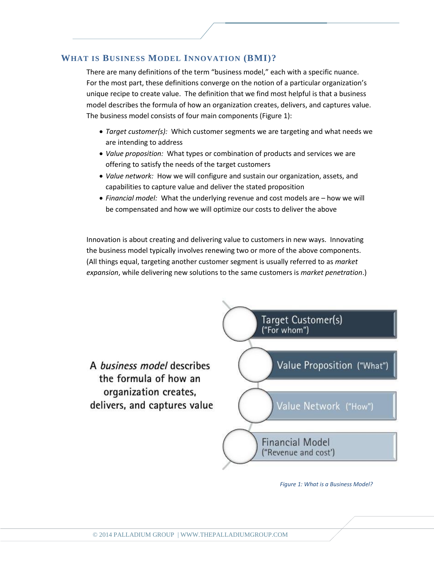#### **WHAT IS BUSINESS MODEL INNOVATION (BMI)?**

There are many definitions of the term "business model," each with a specific nuance. For the most part, these definitions converge on the notion of a particular organization's unique recipe to create value. The definition that we find most helpful is that a business model describes the formula of how an organization creates, delivers, and captures value. The business model consists of four main components (Figure 1):

- *Target customer(s):* Which customer segments we are targeting and what needs we are intending to address
- *Value proposition:* What types or combination of products and services we are offering to satisfy the needs of the target customers
- *Value network:* How we will configure and sustain our organization, assets, and capabilities to capture value and deliver the stated proposition
- *Financial model:* What the underlying revenue and cost models are how we will be compensated and how we will optimize our costs to deliver the above

Innovation is about creating and delivering value to customers in new ways. Innovating the business model typically involves renewing two or more of the above components. (All things equal, targeting another customer segment is usually referred to as *market expansion*, while delivering new solutions to the same customers is *market penetration*.)



*Figure 1: What is a Business Model?*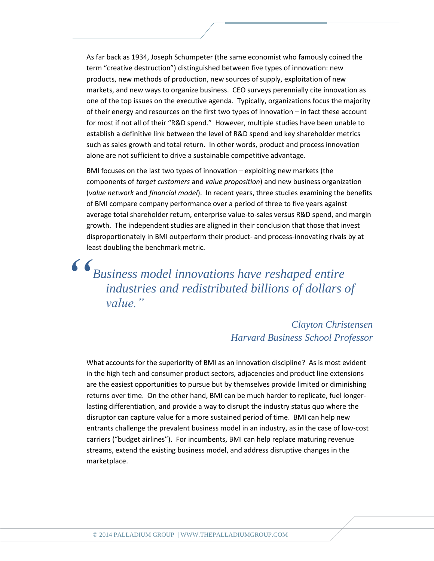As far back as 1934, Joseph Schumpeter (the same economist who famously coined the term "creative destruction") distinguished between five types of innovation: new products, new methods of production, new sources of supply, exploitation of new markets, and new ways to organize business. CEO surveys perennially cite innovation as one of the top issues on the executive agenda. Typically, organizations focus the majority of their energy and resources on the first two types of innovation – in fact these account for most if not all of their "R&D spend." However, multiple studies have been unable to establish a definitive link between the level of R&D spend and key shareholder metrics such as sales growth and total return. In other words, product and process innovation alone are not sufficient to drive a sustainable competitive advantage.

BMI focuses on the last two types of innovation – exploiting new markets (the components of *target customers* and *value proposition*) and new business organization (*value network* and *financial model*). In recent years, three studies examining the benefits of BMI compare company performance over a period of three to five years against average total shareholder return, enterprise value-to-sales versus R&D spend, and margin growth. The independent studies are aligned in their conclusion that those that invest disproportionately in BMI outperform their product- and process-innovating rivals by at least doubling the benchmark metric.

*Business model innovations have reshaped entire industries and redistributed billions of dollars of value." "*

#### *Clayton Christensen Harvard Business School Professor*

What accounts for the superiority of BMI as an innovation discipline? As is most evident in the high tech and consumer product sectors, adjacencies and product line extensions are the easiest opportunities to pursue but by themselves provide limited or diminishing returns over time. On the other hand, BMI can be much harder to replicate, fuel longerlasting differentiation, and provide a way to disrupt the industry status quo where the disruptor can capture value for a more sustained period of time. BMI can help new entrants challenge the prevalent business model in an industry, as in the case of low-cost carriers ("budget airlines"). For incumbents, BMI can help replace maturing revenue streams, extend the existing business model, and address disruptive changes in the marketplace.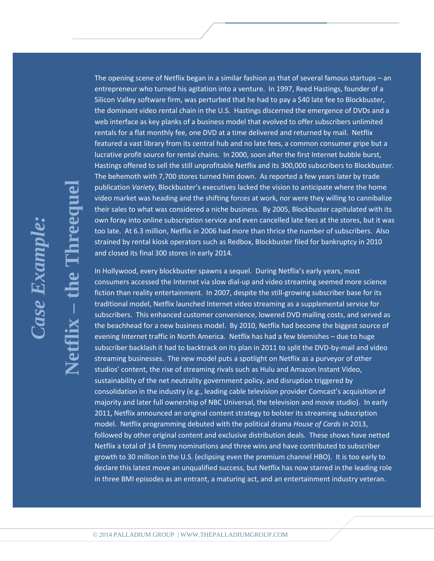**Netflix**

**– the Threequel**

reeaue

The opening scene of Netflix began in a similar fashion as that of several famous startups – an entrepreneur who turned his agitation into a venture. In 1997, Reed Hastings, founder of a Silicon Valley software firm, was perturbed that he had to pay a \$40 late fee to Blockbuster, the dominant video rental chain in the U.S. Hastings discerned the emergence of DVDs and a web interface as key planks of a business model that evolved to offer subscribers unlimited rentals for a flat monthly fee, one DVD at a time delivered and returned by mail. Netflix featured a vast library from its central hub and no late fees, a common consumer gripe but a lucrative profit source for rental chains. In 2000, soon after the first Internet bubble burst, Hastings offered to sell the still unprofitable Netflix and its 300,000 subscribers to Blockbuster. The behemoth with 7,700 stores turned him down. As reported a few years later by trade publication *Variety*, Blockbuster's executives lacked the vision to anticipate where the home video market was heading and the shifting forces at work, nor were they willing to cannibalize their sales to what was considered a niche business. By 2005, Blockbuster capitulated with its own foray into online subscription service and even cancelled late fees at the stores, but it was too late. At 6.3 million, Netflix in 2006 had more than thrice the number of subscribers. Also strained by rental kiosk operators such as Redbox, Blockbuster filed for bankruptcy in 2010 and closed its final 300 stores in early 2014.

In Hollywood, every blockbuster spawns a sequel. During Netflix's early years, most consumers accessed the Internet via slow dial-up and video streaming seemed more science fiction than reality entertainment. In 2007, despite the still-growing subscriber base for its traditional model, Netflix launched Internet video streaming as a supplemental service for subscribers. This enhanced customer convenience, lowered DVD mailing costs, and served as the beachhead for a new business model. By 2010, Netflix had become the biggest source of evening Internet traffic in North America. Netflix has had a few blemishes – due to huge subscriber backlash it had to backtrack on its plan in 2011 to split the DVD-by-mail and video streaming businesses. The new model puts a spotlight on Netflix as a purveyor of other studios' content, the rise of streaming rivals such as Hulu and Amazon Instant Video, sustainability of the net neutrality government policy, and disruption triggered by consolidation in the industry (e.g., leading cable television provider Comcast's acquisition of majority and later full ownership of NBC Universal, the television and movie studio). In early 2011, Netflix announced an original content strategy to bolster its streaming subscription model. Netflix programming debuted with the political drama *House of Cards* in 2013, followed by other original content and exclusive distribution deals. These shows have netted Netflix a total of 14 Emmy nominations and three wins and have contributed to subscriber growth to 30 million in the U.S. (eclipsing even the premium channel HBO). It is too early to declare this latest move an unqualified success, but Netflix has now starred in the leading role in three BMI episodes as an entrant, a maturing act, and an entertainment industry veteran.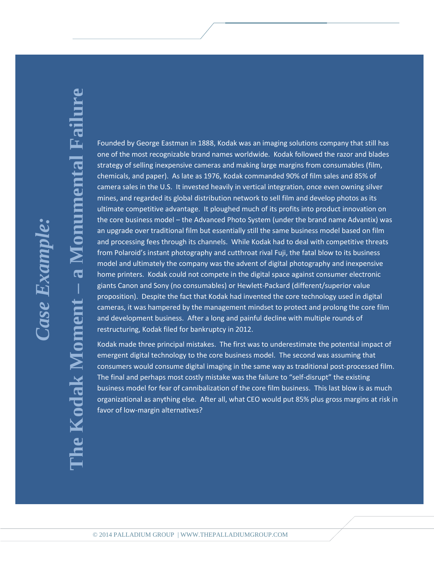## *Case Example:* naumaxa asu

# **– a Monumental Failure**numental Failu  $\overline{\mathbf{d}}$ **The Kodak Moment** mand  $he$  Kodak Mo

Founded by George Eastman in 1888, Kodak was an imaging solutions company that still has one of the most recognizable brand names worldwide. Kodak followed the razor and blades strategy of selling inexpensive cameras and making large margins from consumables (film, chemicals, and paper). As late as 1976, Kodak commanded 90% of film sales and 85% of camera sales in the U.S. It invested heavily in vertical integration, once even owning silver mines, and regarded its global distribution network to sell film and develop photos as its ultimate competitive advantage. It ploughed much of its profits into product innovation on the core business model – the Advanced Photo System (under the brand name Advantix) was an upgrade over traditional film but essentially still the same business model based on film and processing fees through its channels. While Kodak had to deal with competitive threats from Polaroid's instant photography and cutthroat rival Fuji, the fatal blow to its business model and ultimately the company was the advent of digital photography and inexpensive home printers. Kodak could not compete in the digital space against consumer electronic giants Canon and Sony (no consumables) or Hewlett-Packard (different/superior value proposition). Despite the fact that Kodak had invented the core technology used in digital cameras, it was hampered by the management mindset to protect and prolong the core film and development business. After a long and painful decline with multiple rounds of restructuring, Kodak filed for bankruptcy in 2012.

Kodak made three principal mistakes. The first was to underestimate the potential impact of emergent digital technology to the core business model. The second was assuming that consumers would consume digital imaging in the same way as traditional post-processed film. The final and perhaps most costly mistake was the failure to "self-disrupt" the existing business model for fear of cannibalization of the core film business. This last blow is as much organizational as anything else. After all, what CEO would put 85% plus gross margins at risk in favor of low-margin alternatives?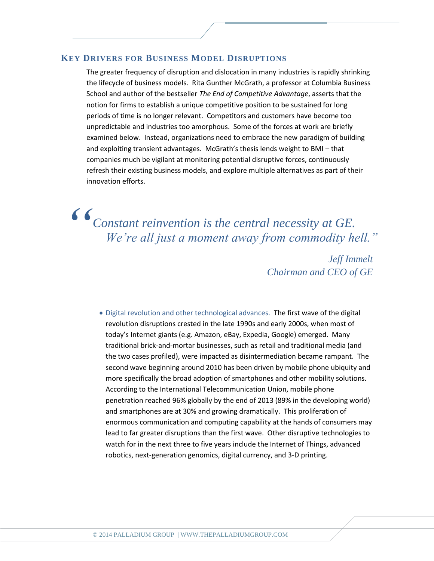#### **KEY DRIVERS FOR BUSINESS MODEL DISRUPTIONS**

The greater frequency of disruption and dislocation in many industries is rapidly shrinking the lifecycle of business models. Rita Gunther McGrath, a professor at Columbia Business School and author of the bestseller *The End of Competitive Advantage*, asserts that the notion for firms to establish a unique competitive position to be sustained for long periods of time is no longer relevant. Competitors and customers have become too unpredictable and industries too amorphous. Some of the forces at work are briefly examined below. Instead, organizations need to embrace the new paradigm of building and exploiting transient advantages. McGrath's thesis lends weight to BMI – that companies much be vigilant at monitoring potential disruptive forces, continuously refresh their existing business models, and explore multiple alternatives as part of their innovation efforts.

*Constant reinvention is the central necessity at GE. We're all just a moment away from commodity hell." "*

*Jeff Immelt Chairman and CEO of GE*

 Digital revolution and other technological advances. The first wave of the digital revolution disruptions crested in the late 1990s and early 2000s, when most of today's Internet giants (e.g. Amazon, eBay, Expedia, Google) emerged. Many traditional brick-and-mortar businesses, such as retail and traditional media (and the two cases profiled), were impacted as disintermediation became rampant. The second wave beginning around 2010 has been driven by mobile phone ubiquity and more specifically the broad adoption of smartphones and other mobility solutions. According to the International Telecommunication Union, mobile phone penetration reached 96% globally by the end of 2013 (89% in the developing world) and smartphones are at 30% and growing dramatically. This proliferation of enormous communication and computing capability at the hands of consumers may lead to far greater disruptions than the first wave. Other disruptive technologies to watch for in the next three to five years include the Internet of Things, advanced robotics, next-generation genomics, digital currency, and 3-D printing.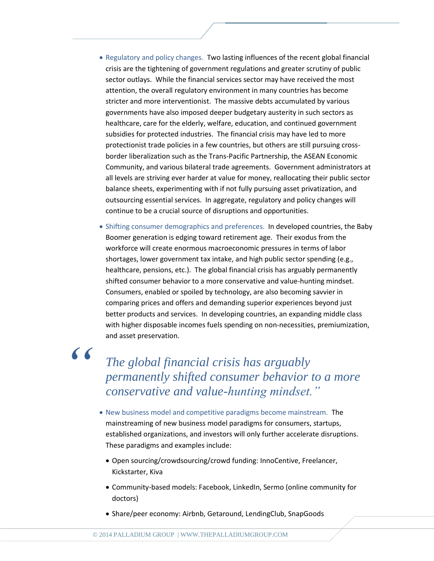- Regulatory and policy changes. Two lasting influences of the recent global financial crisis are the tightening of government regulations and greater scrutiny of public sector outlays. While the financial services sector may have received the most attention, the overall regulatory environment in many countries has become stricter and more interventionist. The massive debts accumulated by various governments have also imposed deeper budgetary austerity in such sectors as healthcare, care for the elderly, welfare, education, and continued government subsidies for protected industries. The financial crisis may have led to more protectionist trade policies in a few countries, but others are still pursuing crossborder liberalization such as the Trans-Pacific Partnership, the ASEAN Economic Community, and various bilateral trade agreements. Government administrators at all levels are striving ever harder at value for money, reallocating their public sector balance sheets, experimenting with if not fully pursuing asset privatization, and outsourcing essential services. In aggregate, regulatory and policy changes will continue to be a crucial source of disruptions and opportunities.
- Shifting consumer demographics and preferences. In developed countries, the Baby Boomer generation is edging toward retirement age. Their exodus from the workforce will create enormous macroeconomic pressures in terms of labor shortages, lower government tax intake, and high public sector spending (e.g., healthcare, pensions, etc.). The global financial crisis has arguably permanently shifted consumer behavior to a more conservative and value-hunting mindset. Consumers, enabled or spoiled by technology, are also becoming savvier in comparing prices and offers and demanding superior experiences beyond just better products and services. In developing countries, an expanding middle class with higher disposable incomes fuels spending on non-necessities, premiumization, and asset preservation.

*"*

### *The global financial crisis has arguably permanently shifted consumer behavior to a more conservative and value-hunting mindset."*

- New business model and competitive paradigms become mainstream. The mainstreaming of new business model paradigms for consumers, startups, established organizations, and investors will only further accelerate disruptions. These paradigms and examples include:
	- Open sourcing/crowdsourcing/crowd funding: InnoCentive, Freelancer, Kickstarter, Kiva
	- Community-based models: Facebook, LinkedIn, Sermo (online community for doctors)
	- Share/peer economy: Airbnb, Getaround, LendingClub, SnapGoods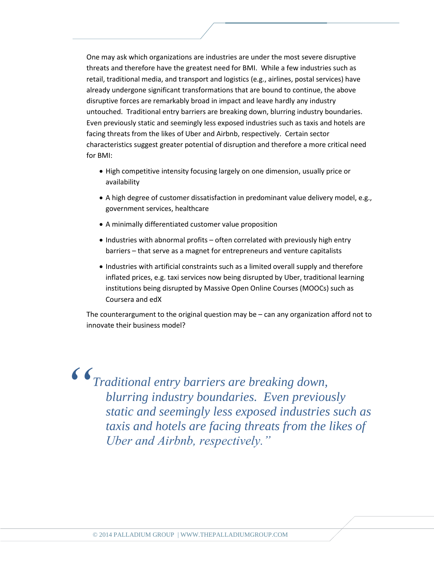One may ask which organizations are industries are under the most severe disruptive threats and therefore have the greatest need for BMI. While a few industries such as retail, traditional media, and transport and logistics (e.g., airlines, postal services) have already undergone significant transformations that are bound to continue, the above disruptive forces are remarkably broad in impact and leave hardly any industry untouched. Traditional entry barriers are breaking down, blurring industry boundaries. Even previously static and seemingly less exposed industries such as taxis and hotels are facing threats from the likes of Uber and Airbnb, respectively. Certain sector characteristics suggest greater potential of disruption and therefore a more critical need for BMI:

- High competitive intensity focusing largely on one dimension, usually price or availability
- A high degree of customer dissatisfaction in predominant value delivery model, e.g., government services, healthcare
- A minimally differentiated customer value proposition
- Industries with abnormal profits often correlated with previously high entry barriers – that serve as a magnet for entrepreneurs and venture capitalists
- Industries with artificial constraints such as a limited overall supply and therefore inflated prices, e.g. taxi services now being disrupted by Uber, traditional learning institutions being disrupted by Massive Open Online Courses (MOOCs) such as Coursera and edX

The counterargument to the original question may be – can any organization afford not to innovate their business model?

*Traditional entry barriers are breaking down, blurring industry boundaries. Even previously static and seemingly less exposed industries such as taxis and hotels are facing threats from the likes of Uber and Airbnb, respectively." "*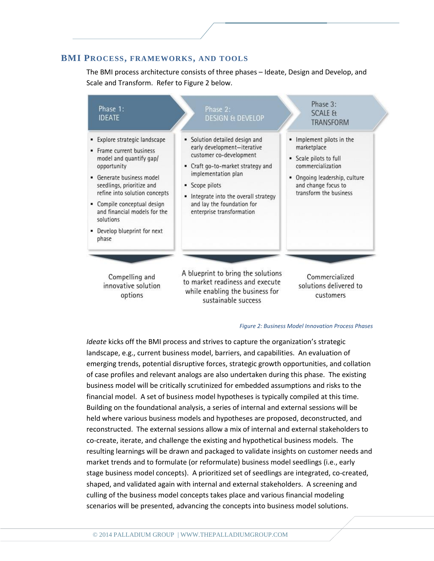#### **BMI PROCESS, FRAMEWORKS, AND TOOLS**

The BMI process architecture consists of three phases – Ideate, Design and Develop, and Scale and Transform. Refer to Figure 2 below.



#### *Figure 2: Business Model Innovation Process Phases*

*Ideate* kicks off the BMI process and strives to capture the organization's strategic landscape, e.g., current business model, barriers, and capabilities. An evaluation of emerging trends, potential disruptive forces, strategic growth opportunities, and collation of case profiles and relevant analogs are also undertaken during this phase. The existing business model will be critically scrutinized for embedded assumptions and risks to the financial model. A set of business model hypotheses is typically compiled at this time. Building on the foundational analysis, a series of internal and external sessions will be held where various business models and hypotheses are proposed, deconstructed, and reconstructed. The external sessions allow a mix of internal and external stakeholders to co-create, iterate, and challenge the existing and hypothetical business models. The resulting learnings will be drawn and packaged to validate insights on customer needs and market trends and to formulate (or reformulate) business model seedlings (i.e., early stage business model concepts). A prioritized set of seedlings are integrated, co-created, shaped, and validated again with internal and external stakeholders. A screening and culling of the business model concepts takes place and various financial modeling scenarios will be presented, advancing the concepts into business model solutions.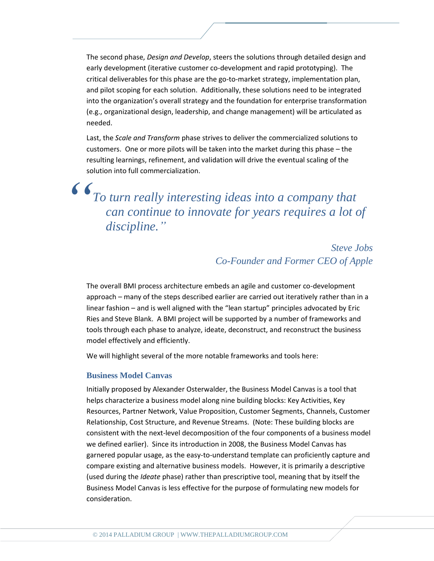The second phase, *Design and Develop*, steers the solutions through detailed design and early development (iterative customer co-development and rapid prototyping). The critical deliverables for this phase are the go-to-market strategy, implementation plan, and pilot scoping for each solution. Additionally, these solutions need to be integrated into the organization's overall strategy and the foundation for enterprise transformation (e.g., organizational design, leadership, and change management) will be articulated as needed.

Last, the *Scale and Transform* phase strives to deliver the commercialized solutions to customers. One or more pilots will be taken into the market during this phase – the resulting learnings, refinement, and validation will drive the eventual scaling of the solution into full commercialization. *"*

*To turn really interesting ideas into a company that can continue to innovate for years requires a lot of discipline."*

#### *Steve Jobs Co-Founder and Former CEO of Apple*

The overall BMI process architecture embeds an agile and customer co-development approach – many of the steps described earlier are carried out iteratively rather than in a linear fashion – and is well aligned with the "lean startup" principles advocated by Eric Ries and Steve Blank. A BMI project will be supported by a number of frameworks and tools through each phase to analyze, ideate, deconstruct, and reconstruct the business model effectively and efficiently.

We will highlight several of the more notable frameworks and tools here:

#### **Business Model Canvas**

Initially proposed by Alexander Osterwalder, the Business Model Canvas is a tool that helps characterize a business model along nine building blocks: Key Activities, Key Resources, Partner Network, Value Proposition, Customer Segments, Channels, Customer Relationship, Cost Structure, and Revenue Streams. (Note: These building blocks are consistent with the next-level decomposition of the four components of a business model we defined earlier). Since its introduction in 2008, the Business Model Canvas has garnered popular usage, as the easy-to-understand template can proficiently capture and compare existing and alternative business models. However, it is primarily a descriptive (used during the *Ideate* phase) rather than prescriptive tool, meaning that by itself the Business Model Canvas is less effective for the purpose of formulating new models for consideration.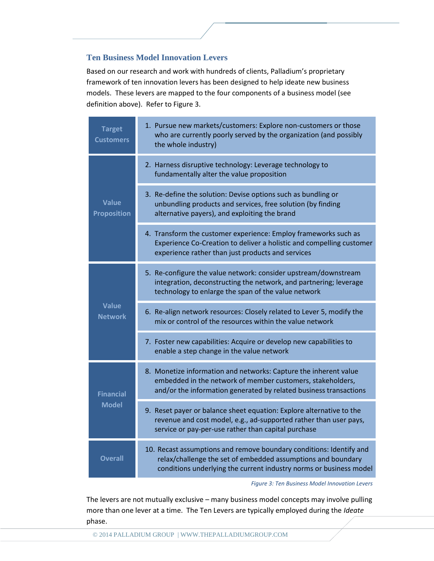#### **Ten Business Model Innovation Levers**

Based on our research and work with hundreds of clients, Palladium's proprietary framework of ten innovation levers has been designed to help ideate new business models. These levers are mapped to the four components of a business model (see definition above). Refer to Figure 3.

| <b>Target</b><br><b>Customers</b>  | 1. Pursue new markets/customers: Explore non-customers or those<br>who are currently poorly served by the organization (and possibly<br>the whole industry)                                               |
|------------------------------------|-----------------------------------------------------------------------------------------------------------------------------------------------------------------------------------------------------------|
| <b>Value</b><br><b>Proposition</b> | 2. Harness disruptive technology: Leverage technology to<br>fundamentally alter the value proposition                                                                                                     |
|                                    | 3. Re-define the solution: Devise options such as bundling or<br>unbundling products and services, free solution (by finding<br>alternative payers), and exploiting the brand                             |
|                                    | 4. Transform the customer experience: Employ frameworks such as<br>Experience Co-Creation to deliver a holistic and compelling customer<br>experience rather than just products and services              |
| <b>Value</b><br><b>Network</b>     | 5. Re-configure the value network: consider upstream/downstream<br>integration, deconstructing the network, and partnering; leverage<br>technology to enlarge the span of the value network               |
|                                    | 6. Re-align network resources: Closely related to Lever 5, modify the<br>mix or control of the resources within the value network                                                                         |
|                                    | 7. Foster new capabilities: Acquire or develop new capabilities to<br>enable a step change in the value network                                                                                           |
| <b>Financial</b><br><b>Model</b>   | 8. Monetize information and networks: Capture the inherent value<br>embedded in the network of member customers, stakeholders,<br>and/or the information generated by related business transactions       |
|                                    | 9. Reset payer or balance sheet equation: Explore alternative to the<br>revenue and cost model, e.g., ad-supported rather than user pays,<br>service or pay-per-use rather than capital purchase          |
| <b>Overall</b>                     | 10. Recast assumptions and remove boundary conditions: Identify and<br>relax/challenge the set of embedded assumptions and boundary<br>conditions underlying the current industry norms or business model |

*Figure 3: Ten Business Model Innovation Levers*

The levers are not mutually exclusive – many business model concepts may involve pulling more than one lever at a time. The Ten Levers are typically employed during the *Ideate* phase.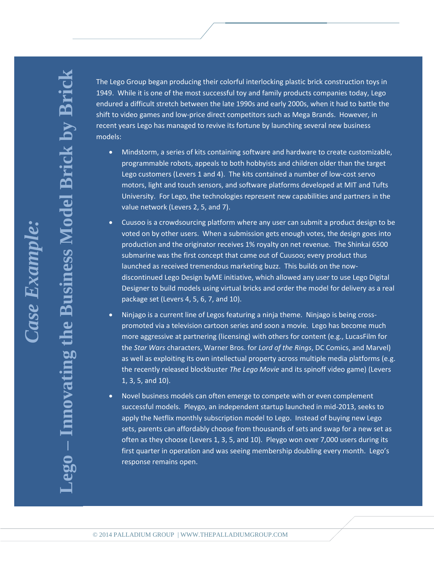**– Innovating the Business Model Brick by Brick**iness Model Brick by Bri **Lego** 

The Lego Group began producing their colorful interlocking plastic brick construction toys in 1949. While it is one of the most successful toy and family products companies today, Lego endured a difficult stretch between the late 1990s and early 2000s, when it had to battle the shift to video games and low-price direct competitors such as Mega Brands. However, in recent years Lego has managed to revive its fortune by launching several new business models:

- Mindstorm, a series of kits containing software and hardware to create customizable, programmable robots, appeals to both hobbyists and children older than the target Lego customers (Levers 1 and 4). The kits contained a number of low-cost servo motors, light and touch sensors, and software platforms developed at MIT and Tufts University. For Lego, the technologies represent new capabilities and partners in the value network (Levers 2, 5, and 7).
- Cuusoo is a crowdsourcing platform where any user can submit a product design to be voted on by other users. When a submission gets enough votes, the design goes into production and the originator receives 1% royalty on net revenue. The Shinkai 6500 submarine was the first concept that came out of Cuusoo; every product thus launched as received tremendous marketing buzz. This builds on the nowdiscontinued Lego Design byME initiative, which allowed any user to use Lego Digital Designer to build models using virtual bricks and order the model for delivery as a real package set (Levers 4, 5, 6, 7, and 10).
- Ninjago is a current line of Legos featuring a ninja theme. Ninjago is being crosspromoted via a television cartoon series and soon a movie. Lego has become much more aggressive at partnering (licensing) with others for content (e.g., LucasFilm for the *Star Wars* characters, Warner Bros. for *Lord of the Rings*, DC Comics, and Marvel) as well as exploiting its own intellectual property across multiple media platforms (e.g. the recently released blockbuster *The Lego Movie* and its spinoff video game) (Levers 1, 3, 5, and 10).
- Novel business models can often emerge to compete with or even complement successful models. Pleygo, an independent startup launched in mid-2013, seeks to apply the Netflix monthly subscription model to Lego. Instead of buying new Lego sets, parents can affordably choose from thousands of sets and swap for a new set as often as they choose (Levers 1, 3, 5, and 10). Pleygo won over 7,000 users during its first quarter in operation and was seeing membership doubling every month. Lego's response remains open.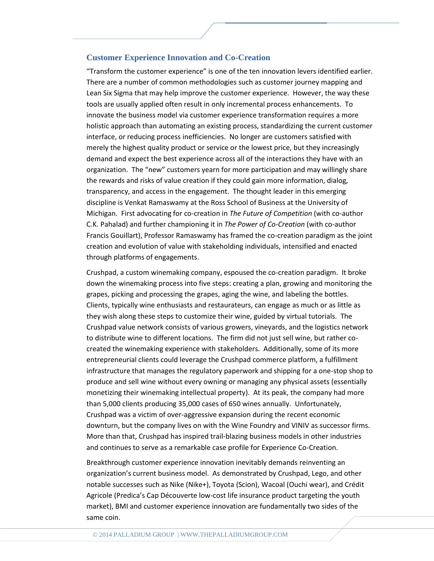#### **Customer Experience Innovation and Co-Creation**

"Transform the customer experience" is one of the ten innovation levers identified earlier. There are a number of common methodologies such as customer journey mapping and Lean Six Sigma that may help improve the customer experience. However, the way these tools are usually applied often result in only incremental process enhancements. To innovate the business model via customer experience transformation requires a more holistic approach than automating an existing process, standardizing the current customer interface, or reducing process inefficiencies. No longer are customers satisfied with merely the highest quality product or service or the lowest price, but they increasingly demand and expect the best experience across all of the interactions they have with an organization. The "new" customers yearn for more participation and may willingly share the rewards and risks of value creation if they could gain more information, dialog, transparency, and access in the engagement. The thought leader in this emerging discipline is Venkat Ramaswamy at the Ross School of Business at the University of Michigan. First advocating for co-creation in *The Future of Competition* (with co-author C.K. Pahalad) and further championing it in *The Power of Co-Creation* (with co-author Francis Gouillart), Professor Ramaswamy has framed the co-creation paradigm as the joint creation and evolution of value with stakeholding individuals, intensified and enacted through platforms of engagements.

Crushpad, a custom winemaking company, espoused the co-creation paradigm. It broke down the winemaking process into five steps: creating a plan, growing and monitoring the grapes, picking and processing the grapes, aging the wine, and labeling the bottles. Clients, typically wine enthusiasts and restaurateurs, can engage as much or as little as they wish along these steps to customize their wine, guided by virtual tutorials. The Crushpad value network consists of various growers, vineyards, and the logistics network to distribute wine to different locations. The firm did not just sell wine, but rather cocreated the winemaking experience with stakeholders. Additionally, some of its more entrepreneurial clients could leverage the Crushpad commerce platform, a fulfillment infrastructure that manages the regulatory paperwork and shipping for a one-stop shop to produce and sell wine without every owning or managing any physical assets (essentially monetizing their winemaking intellectual property). At its peak, the company had more than 5,000 clients producing 35,000 cases of 650 wines annually. Unfortunately, Crushpad was a victim of over-aggressive expansion during the recent economic downturn, but the company lives on with the Wine Foundry and VINIV as successor firms. More than that, Crushpad has inspired trail-blazing business models in other industries and continues to serve as a remarkable case profile for Experience Co-Creation.

Breakthrough customer experience innovation inevitably demands reinventing an organization's current business model. As demonstrated by Crushpad, Lego, and other notable successes such as Nike (Nike+), Toyota (Scion), Wacoal (Ouchi wear), and Crédit Agricole (Predica's Cap Découverte low-cost life insurance product targeting the youth market), BMI and customer experience innovation are fundamentally two sides of the same coin.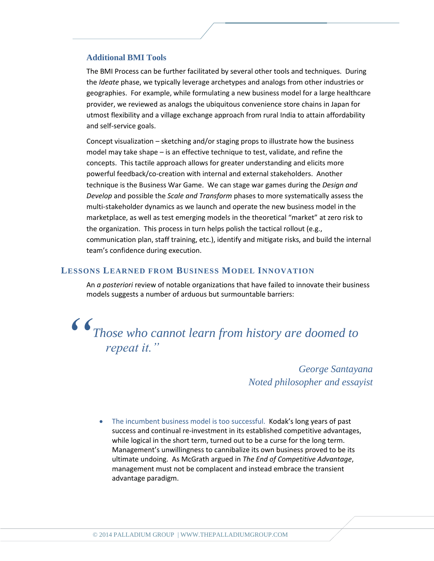#### **Additional BMI Tools**

The BMI Process can be further facilitated by several other tools and techniques. During the *Ideate* phase, we typically leverage archetypes and analogs from other industries or geographies. For example, while formulating a new business model for a large healthcare provider, we reviewed as analogs the ubiquitous convenience store chains in Japan for utmost flexibility and a village exchange approach from rural India to attain affordability and self-service goals.

Concept visualization – sketching and/or staging props to illustrate how the business model may take shape – is an effective technique to test, validate, and refine the concepts. This tactile approach allows for greater understanding and elicits more powerful feedback/co-creation with internal and external stakeholders. Another technique is the Business War Game. We can stage war games during the *Design and Develop* and possible the *Scale and Transform* phases to more systematically assess the multi-stakeholder dynamics as we launch and operate the new business model in the marketplace, as well as test emerging models in the theoretical "market" at zero risk to the organization. This process in turn helps polish the tactical rollout (e.g., communication plan, staff training, etc.), identify and mitigate risks, and build the internal team's confidence during execution.

#### **LESSONS LEARNED FROM BUSINESS MODEL INNOVATION**

An *a posteriori* review of notable organizations that have failed to innovate their business models suggests a number of arduous but surmountable barriers:

*Those who cannot learn from history are doomed to repeat it." "*

*George Santayana Noted philosopher and essayist*

The incumbent business model is too successful. Kodak's long years of past success and continual re-investment in its established competitive advantages, while logical in the short term, turned out to be a curse for the long term. Management's unwillingness to cannibalize its own business proved to be its ultimate undoing. As McGrath argued in *The End of Competitive Advantage*, management must not be complacent and instead embrace the transient advantage paradigm.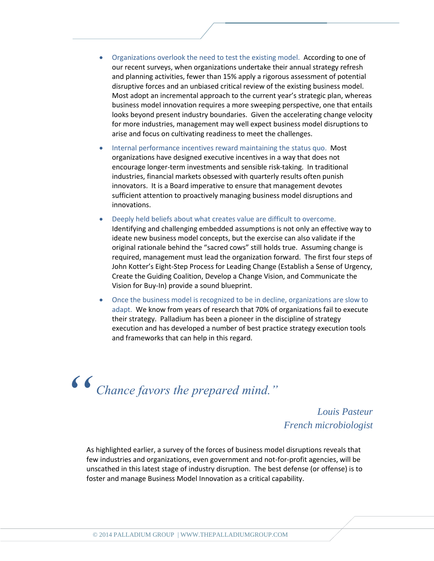- Organizations overlook the need to test the existing model. According to one of our recent surveys, when organizations undertake their annual strategy refresh and planning activities, fewer than 15% apply a rigorous assessment of potential disruptive forces and an unbiased critical review of the existing business model. Most adopt an incremental approach to the current year's strategic plan, whereas business model innovation requires a more sweeping perspective, one that entails looks beyond present industry boundaries. Given the accelerating change velocity for more industries, management may well expect business model disruptions to arise and focus on cultivating readiness to meet the challenges.
- Internal performance incentives reward maintaining the status quo. Most organizations have designed executive incentives in a way that does not encourage longer-term investments and sensible risk-taking. In traditional industries, financial markets obsessed with quarterly results often punish innovators. It is a Board imperative to ensure that management devotes sufficient attention to proactively managing business model disruptions and innovations.
- Deeply held beliefs about what creates value are difficult to overcome. Identifying and challenging embedded assumptions is not only an effective way to ideate new business model concepts, but the exercise can also validate if the original rationale behind the "sacred cows" still holds true. Assuming change is required, management must lead the organization forward. The first four steps of John Kotter's Eight-Step Process for Leading Change (Establish a Sense of Urgency, Create the Guiding Coalition, Develop a Change Vision, and Communicate the Vision for Buy-In) provide a sound blueprint.
- Once the business model is recognized to be in decline, organizations are slow to adapt. We know from years of research that 70% of organizations fail to execute their strategy. Palladium has been a pioneer in the discipline of strategy execution and has developed a number of best practice strategy execution tools and frameworks that can help in this regard.

*Chance favors the prepared mind." "*

*Louis Pasteur French microbiologist*

As highlighted earlier, a survey of the forces of business model disruptions reveals that few industries and organizations, even government and not-for-profit agencies, will be unscathed in this latest stage of industry disruption. The best defense (or offense) is to foster and manage Business Model Innovation as a critical capability.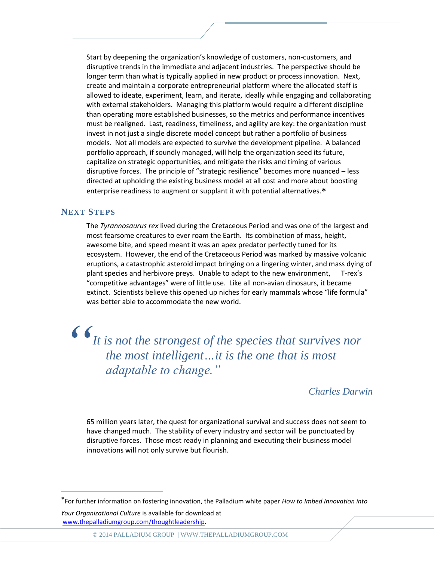Start by deepening the organization's knowledge of customers, non-customers, and disruptive trends in the immediate and adjacent industries. The perspective should be longer term than what is typically applied in new product or process innovation. Next, create and maintain a corporate entrepreneurial platform where the allocated staff is allowed to ideate, experiment, learn, and iterate, ideally while engaging and collaborating with external stakeholders. Managing this platform would require a different discipline than operating more established businesses, so the metrics and performance incentives must be realigned. Last, readiness, timeliness, and agility are key: the organization must invest in not just a single discrete model concept but rather a portfolio of business models. Not all models are expected to survive the development pipeline. A balanced portfolio approach, if soundly managed, will help the organization seed its future, capitalize on strategic opportunities, and mitigate the risks and timing of various disruptive forces. The principle of "strategic resilience" becomes more nuanced – less directed at upholding the existing business model at all cost and more about boosting enterprise readiness to augment or supplant it with potential alternatives.\*

#### **NEXT STEPS**

The *Tyrannosaurus rex* lived during the Cretaceous Period and was one of the largest and most fearsome creatures to ever roam the Earth. Its combination of mass, height, awesome bite, and speed meant it was an apex predator perfectly tuned for its ecosystem. However, the end of the Cretaceous Period was marked by massive volcanic eruptions, a catastrophic asteroid impact bringing on a lingering winter, and mass dying of plant species and herbivore preys. Unable to adapt to the new environment, T-rex's "competitive advantages" were of little use. Like all non-avian dinosaurs, it became extinct. Scientists believe this opened up niches for early mammals whose "life formula" was better able to accommodate the new world.

*It is not the strongest of the species that survives nor the most intelligent…it is the one that is most adaptable to change." "*

#### *Charles Darwin*

65 million years later, the quest for organizational survival and success does not seem to have changed much. The stability of every industry and sector will be punctuated by disruptive forces. Those most ready in planning and executing their business model innovations will not only survive but flourish.

 $\overline{a}$ 

© 2014 PALLADIUM GROUP [| WWW.THEPALLADIUMGROUP.COM](http://www.thepalladiumgroup.com/)

<sup>\*</sup>For further information on fostering innovation, the Palladium white paper *How to Imbed Innovation into Your Organizational Culture* is available for download at

[www.thepalladiumgroup.com/thoughtleadership.](http://www.thepalladiumgroup.com/thoughtleadership)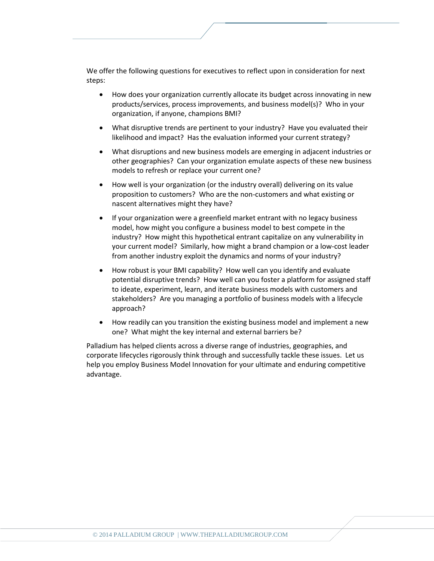We offer the following questions for executives to reflect upon in consideration for next steps:

- How does your organization currently allocate its budget across innovating in new products/services, process improvements, and business model(s)? Who in your organization, if anyone, champions BMI?
- What disruptive trends are pertinent to your industry? Have you evaluated their likelihood and impact? Has the evaluation informed your current strategy?
- What disruptions and new business models are emerging in adjacent industries or other geographies? Can your organization emulate aspects of these new business models to refresh or replace your current one?
- How well is your organization (or the industry overall) delivering on its value proposition to customers? Who are the non-customers and what existing or nascent alternatives might they have?
- If your organization were a greenfield market entrant with no legacy business model, how might you configure a business model to best compete in the industry? How might this hypothetical entrant capitalize on any vulnerability in your current model? Similarly, how might a brand champion or a low-cost leader from another industry exploit the dynamics and norms of your industry?
- How robust is your BMI capability? How well can you identify and evaluate potential disruptive trends? How well can you foster a platform for assigned staff to ideate, experiment, learn, and iterate business models with customers and stakeholders? Are you managing a portfolio of business models with a lifecycle approach?
- How readily can you transition the existing business model and implement a new one? What might the key internal and external barriers be?

Palladium has helped clients across a diverse range of industries, geographies, and corporate lifecycles rigorously think through and successfully tackle these issues. Let us help you employ Business Model Innovation for your ultimate and enduring competitive advantage.